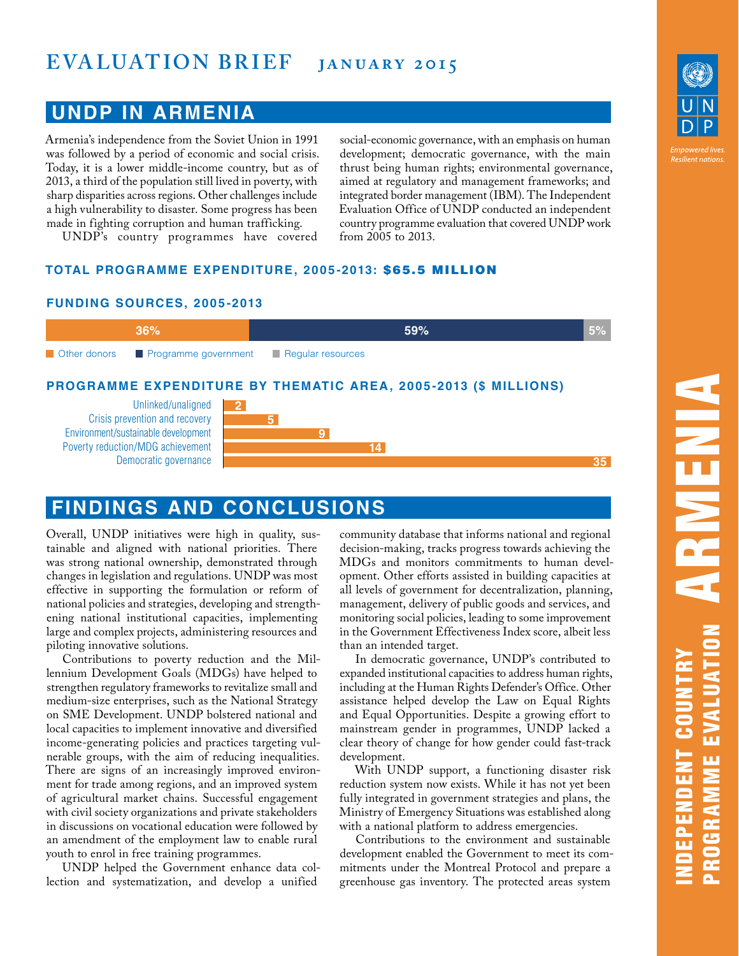## **EVALUATION BRIEF** JANUARY 2015

### **UNDP IN ARMENIA**

**FUNDING SOURCES, 2005-2013**

Armenia's independence from the Soviet Union in 1991 was followed by a period of economic and social crisis. Today, it is a lower middle-income country, but as of 2013, a third of the population still lived in poverty, with sharp disparities across regions. Other challenges include a high vulnerability to disaster. Some progress has been made in fighting corruption and human trafficking.

UNDP's country programmes have covered

social-economic governance, with an emphasis on human development; democratic governance, with the main thrust being human rights; environmental governance, aimed at regulatory and management frameworks; and integrated border management (IBM). The Independent Evaluation Office of UNDP conducted an independent country programme evaluation that covered UNDP work from 2005 to 2013.

**TOTAL PROGRAMME EXPENDITURE, 2005-2013:** \$65.5 MILLION



# **FINDINGS AND CONCLUSIONS**

Overall, UNDP initiatives were high in quality, sustainable and aligned with national priorities. There was strong national ownership, demonstrated through changes in legislation and regulations. UNDP was most effective in supporting the formulation or reform of national policies and strategies, developing and strengthening national institutional capacities, implementing large and complex projects, administering resources and piloting innovative solutions.

Contributions to poverty reduction and the Millennium Development Goals (MDGs) have helped to strengthen regulatory frameworks to revitalize small and medium-size enterprises, such as the National Strategy on SME Development. UNDP bolstered national and local capacities to implement innovative and diversified income-generating policies and practices targeting vulnerable groups, with the aim of reducing inequalities. There are signs of an increasingly improved environment for trade among regions, and an improved system of agricultural market chains. Successful engagement with civil society organizations and private stakeholders in discussions on vocational education were followed by an amendment of the employment law to enable rural youth to enrol in free training programmes.

UNDP helped the Government enhance data collection and systematization, and develop a unified

community database that informs national and regional decision-making, tracks progress towards achieving the MDGs and monitors commitments to human development. Other efforts assisted in building capacities at all levels of government for decentralization, planning, management, delivery of public goods and services, and monitoring social policies, leading to some improvement in the Government Effectiveness Index score, albeit less than an intended target.

In democratic governance, UNDP's contributed to expanded institutional capacities to address human rights, including at the Human Rights Defender's Office. Other assistance helped develop the Law on Equal Rights and Equal Opportunities. Despite a growing effort to mainstream gender in programmes, UNDP lacked a clear theory of change for how gender could fast-track development.

With UNDP support, a functioning disaster risk reduction system now exists. While it has not yet been fully integrated in government strategies and plans, the Ministry of Emergency Situations was established along with a national platform to address emergencies.

Contributions to the environment and sustainable development enabled the Government to meet its commitments under the Montreal Protocol and prepare a greenhouse gas inventory. The protected areas system